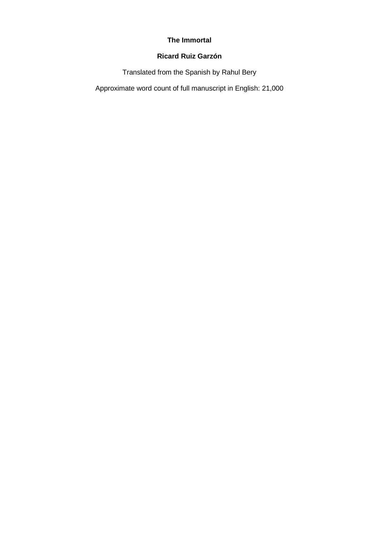# **The Immortal**

# **Ricard Ruiz Garzón**

Translated from the Spanish by Rahul Bery

Approximate word count of full manuscript in English: 21,000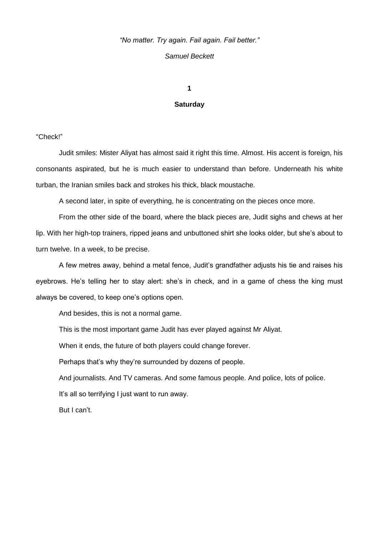# *"No matter. Try again. Fail again. Fail better."*

## *Samuel Beckett*

**1**

### **Saturday**

"Check!"

Judit smiles: Mister Aliyat has almost said it right this time. Almost. His accent is foreign, his consonants aspirated, but he is much easier to understand than before. Underneath his white turban, the Iranian smiles back and strokes his thick, black moustache.

A second later, in spite of everything, he is concentrating on the pieces once more.

From the other side of the board, where the black pieces are, Judit sighs and chews at her lip. With her high-top trainers, ripped jeans and unbuttoned shirt she looks older, but she's about to turn twelve. In a week, to be precise.

A few metres away, behind a metal fence, Judit's grandfather adjusts his tie and raises his eyebrows. He's telling her to stay alert: she's in check, and in a game of chess the king must always be covered, to keep one's options open.

And besides, this is not a normal game.

This is the most important game Judit has ever played against Mr Aliyat.

When it ends, the future of both players could change forever.

Perhaps that's why they're surrounded by dozens of people.

And journalists. And TV cameras. And some famous people. And police, lots of police.

It's all so terrifying I just want to run away.

But I can't.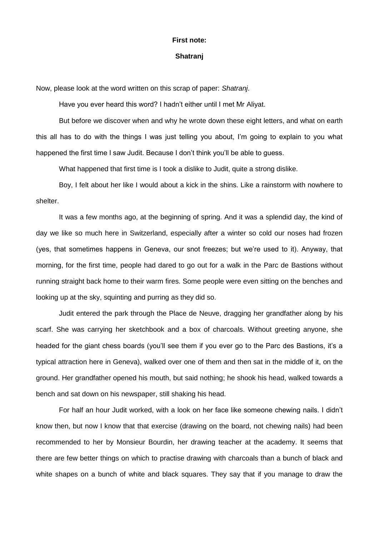#### **First note:**

### **Shatranj**

Now, please look at the word written on this scrap of paper: *Shatranj*.

Have you ever heard this word? I hadn't either until I met Mr Aliyat.

But before we discover when and why he wrote down these eight letters, and what on earth this all has to do with the things I was just telling you about, I'm going to explain to you what happened the first time I saw Judit. Because I don't think you'll be able to guess.

What happened that first time is I took a dislike to Judit, quite a strong dislike.

Boy, I felt about her like I would about a kick in the shins. Like a rainstorm with nowhere to shelter.

It was a few months ago, at the beginning of spring. And it was a splendid day, the kind of day we like so much here in Switzerland, especially after a winter so cold our noses had frozen (yes, that sometimes happens in Geneva, our snot freezes; but we're used to it). Anyway, that morning, for the first time, people had dared to go out for a walk in the Parc de Bastions without running straight back home to their warm fires. Some people were even sitting on the benches and looking up at the sky, squinting and purring as they did so.

Judit entered the park through the Place de Neuve, dragging her grandfather along by his scarf. She was carrying her sketchbook and a box of charcoals. Without greeting anyone, she headed for the giant chess boards (you'll see them if you ever go to the Parc des Bastions, it's a typical attraction here in Geneva), walked over one of them and then sat in the middle of it, on the ground. Her grandfather opened his mouth, but said nothing; he shook his head, walked towards a bench and sat down on his newspaper, still shaking his head.

For half an hour Judit worked, with a look on her face like someone chewing nails. I didn't know then, but now I know that that exercise (drawing on the board, not chewing nails) had been recommended to her by Monsieur Bourdin, her drawing teacher at the academy. It seems that there are few better things on which to practise drawing with charcoals than a bunch of black and white shapes on a bunch of white and black squares. They say that if you manage to draw the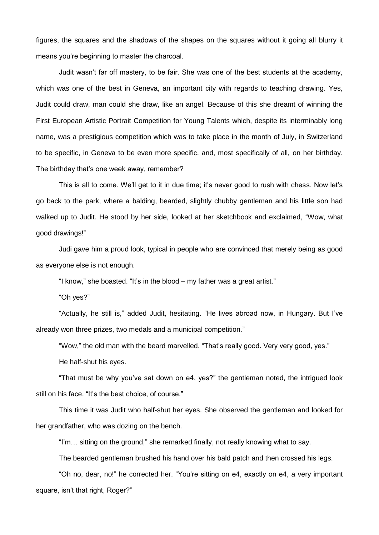figures, the squares and the shadows of the shapes on the squares without it going all blurry it means you're beginning to master the charcoal.

Judit wasn't far off mastery, to be fair. She was one of the best students at the academy, which was one of the best in Geneva, an important city with regards to teaching drawing. Yes, Judit could draw, man could she draw, like an angel. Because of this she dreamt of winning the First European Artistic Portrait Competition for Young Talents which, despite its interminably long name, was a prestigious competition which was to take place in the month of July, in Switzerland to be specific, in Geneva to be even more specific, and, most specifically of all, on her birthday. The birthday that's one week away, remember?

This is all to come. We'll get to it in due time; it's never good to rush with chess. Now let's go back to the park, where a balding, bearded, slightly chubby gentleman and his little son had walked up to Judit. He stood by her side, looked at her sketchbook and exclaimed, "Wow, what good drawings!"

Judi gave him a proud look, typical in people who are convinced that merely being as good as everyone else is not enough.

"I know," she boasted. "It's in the blood – my father was a great artist."

"Oh yes?"

"Actually, he still is," added Judit, hesitating. "He lives abroad now, in Hungary. But I've already won three prizes, two medals and a municipal competition."

"Wow," the old man with the beard marvelled. "That's really good. Very very good, yes."

He half-shut his eyes.

"That must be why you've sat down on e4, yes?" the gentleman noted, the intrigued look still on his face. "It's the best choice, of course."

This time it was Judit who half-shut her eyes. She observed the gentleman and looked for her grandfather, who was dozing on the bench.

"I'm… sitting on the ground," she remarked finally, not really knowing what to say.

The bearded gentleman brushed his hand over his bald patch and then crossed his legs.

"Oh no, dear, no!" he corrected her. "You're sitting on e4, exactly on e4, a very important square, isn't that right, Roger?"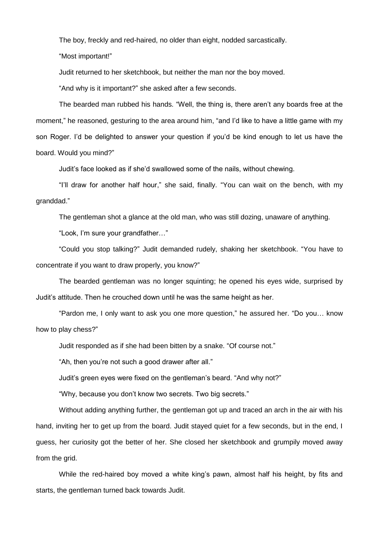The boy, freckly and red-haired, no older than eight, nodded sarcastically.

"Most important!"

Judit returned to her sketchbook, but neither the man nor the boy moved.

"And why is it important?" she asked after a few seconds.

The bearded man rubbed his hands. "Well, the thing is, there aren't any boards free at the moment," he reasoned, gesturing to the area around him, "and I'd like to have a little game with my son Roger. I'd be delighted to answer your question if you'd be kind enough to let us have the board. Would you mind?"

Judit's face looked as if she'd swallowed some of the nails, without chewing.

"I'll draw for another half hour," she said, finally. "You can wait on the bench, with my granddad."

The gentleman shot a glance at the old man, who was still dozing, unaware of anything.

"Look, I'm sure your grandfather…"

"Could you stop talking?" Judit demanded rudely, shaking her sketchbook. "You have to concentrate if you want to draw properly, you know?"

The bearded gentleman was no longer squinting; he opened his eyes wide, surprised by Judit's attitude. Then he crouched down until he was the same height as her.

"Pardon me, I only want to ask you one more question," he assured her. "Do you… know how to play chess?"

Judit responded as if she had been bitten by a snake. "Of course not."

"Ah, then you're not such a good drawer after all."

Judit's green eyes were fixed on the gentleman's beard. "And why not?"

"Why, because you don't know two secrets. Two big secrets."

Without adding anything further, the gentleman got up and traced an arch in the air with his hand, inviting her to get up from the board. Judit stayed quiet for a few seconds, but in the end, I guess, her curiosity got the better of her. She closed her sketchbook and grumpily moved away from the grid.

While the red-haired boy moved a white king's pawn, almost half his height, by fits and starts, the gentleman turned back towards Judit.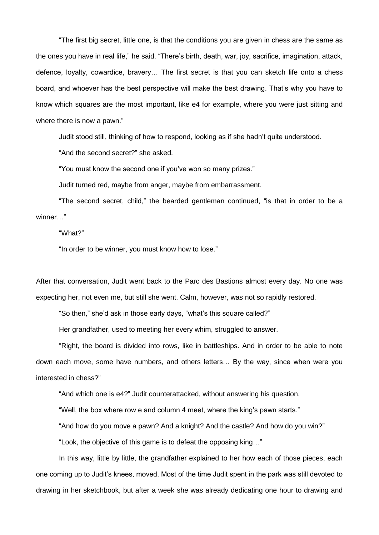"The first big secret, little one, is that the conditions you are given in chess are the same as the ones you have in real life," he said. "There's birth, death, war, joy, sacrifice, imagination, attack, defence, loyalty, cowardice, bravery… The first secret is that you can sketch life onto a chess board, and whoever has the best perspective will make the best drawing. That's why you have to know which squares are the most important, like e4 for example, where you were just sitting and where there is now a pawn."

Judit stood still, thinking of how to respond, looking as if she hadn't quite understood.

"And the second secret?" she asked.

"You must know the second one if you've won so many prizes."

Judit turned red, maybe from anger, maybe from embarrassment.

"The second secret, child," the bearded gentleman continued, "is that in order to be a winner…"

"What?"

"In order to be winner, you must know how to lose."

After that conversation, Judit went back to the Parc des Bastions almost every day. No one was expecting her, not even me, but still she went. Calm, however, was not so rapidly restored.

"So then," she'd ask in those early days, "what's this square called?"

Her grandfather, used to meeting her every whim, struggled to answer.

"Right, the board is divided into rows, like in battleships. And in order to be able to note down each move, some have numbers, and others letters… By the way, since when were you interested in chess?"

"And which one is e4?" Judit counterattacked, without answering his question.

"Well, the box where row e and column 4 meet, where the king's pawn starts."

"And how do you move a pawn? And a knight? And the castle? And how do you win?"

"Look, the objective of this game is to defeat the opposing king…"

In this way, little by little, the grandfather explained to her how each of those pieces, each one coming up to Judit's knees, moved. Most of the time Judit spent in the park was still devoted to drawing in her sketchbook, but after a week she was already dedicating one hour to drawing and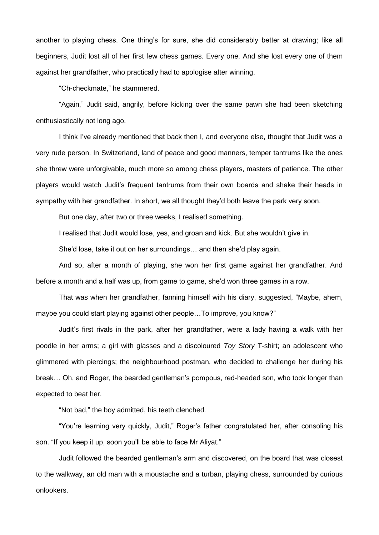another to playing chess. One thing's for sure, she did considerably better at drawing; like all beginners, Judit lost all of her first few chess games. Every one. And she lost every one of them against her grandfather, who practically had to apologise after winning.

"Ch-checkmate," he stammered.

"Again," Judit said, angrily, before kicking over the same pawn she had been sketching enthusiastically not long ago.

I think I've already mentioned that back then I, and everyone else, thought that Judit was a very rude person. In Switzerland, land of peace and good manners, temper tantrums like the ones she threw were unforgivable, much more so among chess players, masters of patience. The other players would watch Judit's frequent tantrums from their own boards and shake their heads in sympathy with her grandfather. In short, we all thought they'd both leave the park very soon.

But one day, after two or three weeks, I realised something.

I realised that Judit would lose, yes, and groan and kick. But she wouldn't give in.

She'd lose, take it out on her surroundings… and then she'd play again.

And so, after a month of playing, she won her first game against her grandfather. And before a month and a half was up, from game to game, she'd won three games in a row.

That was when her grandfather, fanning himself with his diary, suggested, "Maybe, ahem, maybe you could start playing against other people…To improve, you know?"

Judit's first rivals in the park, after her grandfather, were a lady having a walk with her poodle in her arms; a girl with glasses and a discoloured *Toy Story* T-shirt; an adolescent who glimmered with piercings; the neighbourhood postman, who decided to challenge her during his break… Oh, and Roger, the bearded gentleman's pompous, red-headed son, who took longer than expected to beat her.

"Not bad," the boy admitted, his teeth clenched.

"You're learning very quickly, Judit," Roger's father congratulated her, after consoling his son. "If you keep it up, soon you'll be able to face Mr Aliyat."

Judit followed the bearded gentleman's arm and discovered, on the board that was closest to the walkway, an old man with a moustache and a turban, playing chess, surrounded by curious onlookers.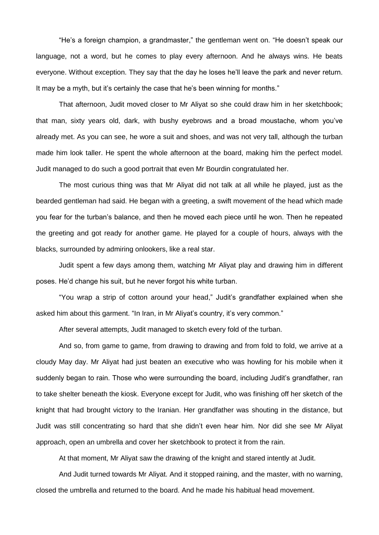"He's a foreign champion, a grandmaster," the gentleman went on. "He doesn't speak our language, not a word, but he comes to play every afternoon. And he always wins. He beats everyone. Without exception. They say that the day he loses he'll leave the park and never return. It may be a myth, but it's certainly the case that he's been winning for months."

That afternoon, Judit moved closer to Mr Aliyat so she could draw him in her sketchbook; that man, sixty years old, dark, with bushy eyebrows and a broad moustache, whom you've already met. As you can see, he wore a suit and shoes, and was not very tall, although the turban made him look taller. He spent the whole afternoon at the board, making him the perfect model. Judit managed to do such a good portrait that even Mr Bourdin congratulated her.

The most curious thing was that Mr Aliyat did not talk at all while he played, just as the bearded gentleman had said. He began with a greeting, a swift movement of the head which made you fear for the turban's balance, and then he moved each piece until he won. Then he repeated the greeting and got ready for another game. He played for a couple of hours, always with the blacks, surrounded by admiring onlookers, like a real star.

Judit spent a few days among them, watching Mr Aliyat play and drawing him in different poses. He'd change his suit, but he never forgot his white turban.

"You wrap a strip of cotton around your head," Judit's grandfather explained when she asked him about this garment. "In Iran, in Mr Aliyat's country, it's very common."

After several attempts, Judit managed to sketch every fold of the turban.

And so, from game to game, from drawing to drawing and from fold to fold, we arrive at a cloudy May day. Mr Aliyat had just beaten an executive who was howling for his mobile when it suddenly began to rain. Those who were surrounding the board, including Judit's grandfather, ran to take shelter beneath the kiosk. Everyone except for Judit, who was finishing off her sketch of the knight that had brought victory to the Iranian. Her grandfather was shouting in the distance, but Judit was still concentrating so hard that she didn't even hear him. Nor did she see Mr Aliyat approach, open an umbrella and cover her sketchbook to protect it from the rain.

At that moment, Mr Aliyat saw the drawing of the knight and stared intently at Judit.

And Judit turned towards Mr Aliyat. And it stopped raining, and the master, with no warning, closed the umbrella and returned to the board. And he made his habitual head movement.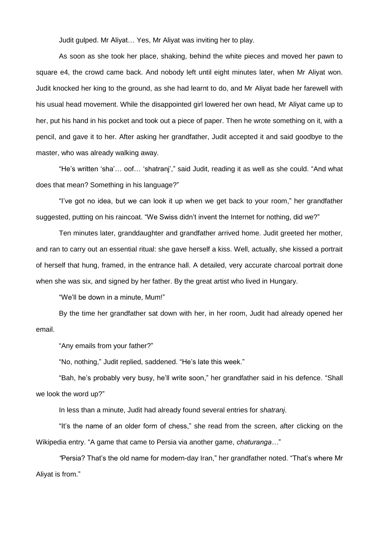Judit gulped. Mr Aliyat… Yes, Mr Aliyat was inviting her to play.

As soon as she took her place, shaking, behind the white pieces and moved her pawn to square e4, the crowd came back. And nobody left until eight minutes later, when Mr Aliyat won. Judit knocked her king to the ground, as she had learnt to do, and Mr Aliyat bade her farewell with his usual head movement. While the disappointed girl lowered her own head, Mr Aliyat came up to her, put his hand in his pocket and took out a piece of paper. Then he wrote something on it, with a pencil, and gave it to her. After asking her grandfather, Judit accepted it and said goodbye to the master, who was already walking away.

"He's written 'sha'… oof… 'shatranj'," said Judit, reading it as well as she could. "And what does that mean? Something in his language?"

"I've got no idea, but we can look it up when we get back to your room," her grandfather suggested, putting on his raincoat. "We Swiss didn't invent the Internet for nothing, did we?"

Ten minutes later, granddaughter and grandfather arrived home. Judit greeted her mother, and ran to carry out an essential ritual: she gave herself a kiss. Well, actually, she kissed a portrait of herself that hung, framed, in the entrance hall. A detailed, very accurate charcoal portrait done when she was six, and signed by her father. By the great artist who lived in Hungary.

"We'll be down in a minute, Mum!"

By the time her grandfather sat down with her, in her room, Judit had already opened her email.

"Any emails from your father?"

"No, nothing," Judit replied, saddened. "He's late this week."

"Bah, he's probably very busy, he'll write soon," her grandfather said in his defence. "Shall we look the word up?"

In less than a minute, Judit had already found several entries for *shatranj*.

"It's the name of an older form of chess," she read from the screen, after clicking on the Wikipedia entry. "A game that came to Persia via another game, *chaturanga…*"

*"*Persia? That's the old name for modern-day Iran," her grandfather noted. "That's where Mr Aliyat is from."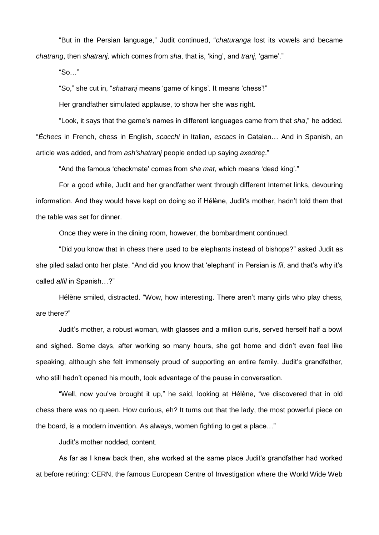"But in the Persian language," Judit continued, "*chaturanga* lost its vowels and became *chatrang*, then *shatranj,* which comes from *sha*, that is, 'king', and *tranj*, 'game'."

"So…"

"So," she cut in, "*shatranj* means 'game of kings'. It means 'chess'!"

Her grandfather simulated applause, to show her she was right.

"Look, it says that the game's names in different languages came from that *sha*," he added. "*Échecs* in French, chess in English, *scacchi* in Italian, *escacs* in Catalan… And in Spanish, an article was added, and from *ash'shatranj* people ended up saying *axedreç*."

"And the famous 'checkmate' comes from *sha mat,* which means 'dead king'."

For a good while, Judit and her grandfather went through different Internet links, devouring information. And they would have kept on doing so if Hélène, Judit's mother, hadn't told them that the table was set for dinner.

Once they were in the dining room, however, the bombardment continued.

"Did you know that in chess there used to be elephants instead of bishops?" asked Judit as she piled salad onto her plate. "And did you know that 'elephant' in Persian is *fil*, and that's why it's called *alfil* in Spanish…?"

Hélène smiled, distracted. "Wow, how interesting. There aren't many girls who play chess, are there?"

Judit's mother, a robust woman, with glasses and a million curls, served herself half a bowl and sighed. Some days, after working so many hours, she got home and didn't even feel like speaking, although she felt immensely proud of supporting an entire family. Judit's grandfather, who still hadn't opened his mouth, took advantage of the pause in conversation.

"Well, now you've brought it up," he said, looking at Hélène, "we discovered that in old chess there was no queen. How curious, eh? It turns out that the lady, the most powerful piece on the board, is a modern invention. As always, women fighting to get a place…"

Judit's mother nodded, content.

As far as I knew back then, she worked at the same place Judit's grandfather had worked at before retiring: CERN, the famous European Centre of Investigation where the World Wide Web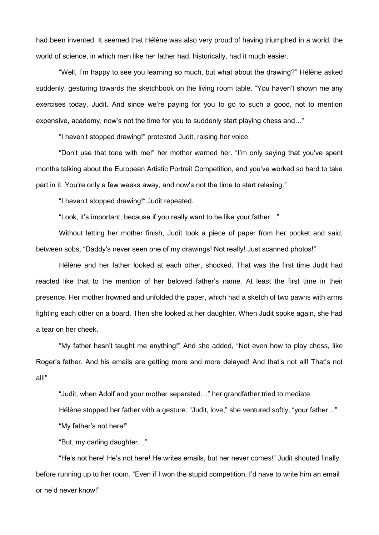had been invented. It seemed that Hélène was also very proud of having triumphed in a world, the world of science, in which men like her father had, historically, had it much easier.

"Well, I'm happy to see you learning so much, but what about the drawing?" Hélène asked suddenly, gesturing towards the sketchbook on the living room table. "You haven't shown me any exercises today, Judit. And since we're paying for you to go to such a good, not to mention expensive, academy, now's not the time for you to suddenly start playing chess and…"

"I haven't stopped drawing!" protested Judit, raising her voice.

"Don't use that tone with me!" her mother warned her. "I'm only saying that you've spent months talking about the European Artistic Portrait Competition, and you've worked so hard to take part in it. You're only a few weeks away, and now's not the time to start relaxing."

"I haven't stopped drawing!" Judit repeated.

"Look, it's important, because if you really want to be like your father…"

Without letting her mother finish, Judit took a piece of paper from her pocket and said, between sobs, "Daddy's never seen one of my drawings! Not really! Just scanned photos!"

Hélène and her father looked at each other, shocked. That was the first time Judit had reacted like that to the mention of her beloved father's name. At least the first time in their presence. Her mother frowned and unfolded the paper, which had a sketch of two pawns with arms fighting each other on a board. Then she looked at her daughter. When Judit spoke again, she had a tear on her cheek.

"My father hasn't taught me anything!" And she added, "Not even how to play chess, like Roger's father. And his emails are getting more and more delayed! And that's not all! That's not all!"

"Judit, when Adolf and your mother separated…" her grandfather tried to mediate.

Hélène stopped her father with a gesture. "Judit, love," she ventured softly, "your father…"

"My father's not here!"

"But, my darling daughter…"

"He's not here! He's not here! He writes emails, but her never comes!" Judit shouted finally, before running up to her room. "Even if I won the stupid competition, I'd have to write him an email or he'd never know!"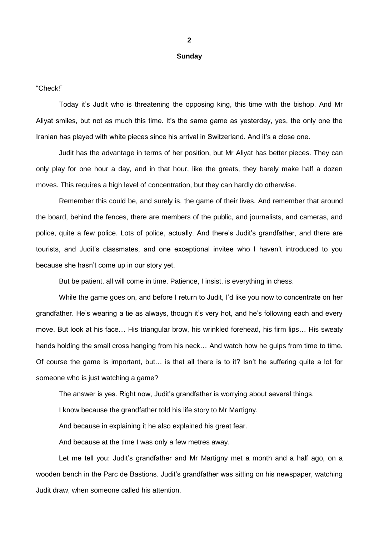#### **Sunday**

"Check!"

Today it's Judit who is threatening the opposing king, this time with the bishop. And Mr Aliyat smiles, but not as much this time. It's the same game as yesterday, yes, the only one the Iranian has played with white pieces since his arrival in Switzerland. And it's a close one.

Judit has the advantage in terms of her position, but Mr Aliyat has better pieces. They can only play for one hour a day, and in that hour, like the greats, they barely make half a dozen moves. This requires a high level of concentration, but they can hardly do otherwise.

Remember this could be, and surely is, the game of their lives. And remember that around the board, behind the fences, there are members of the public, and journalists, and cameras, and police, quite a few police. Lots of police, actually. And there's Judit's grandfather, and there are tourists, and Judit's classmates, and one exceptional invitee who I haven't introduced to you because she hasn't come up in our story yet.

But be patient, all will come in time. Patience, I insist, is everything in chess.

While the game goes on, and before I return to Judit, I'd like you now to concentrate on her grandfather. He's wearing a tie as always, though it's very hot, and he's following each and every move. But look at his face… His triangular brow, his wrinkled forehead, his firm lips… His sweaty hands holding the small cross hanging from his neck… And watch how he gulps from time to time. Of course the game is important, but… is that all there is to it? Isn't he suffering quite a lot for someone who is just watching a game?

The answer is yes. Right now, Judit's grandfather is worrying about several things.

I know because the grandfather told his life story to Mr Martigny.

And because in explaining it he also explained his great fear.

And because at the time I was only a few metres away.

Let me tell you: Judit's grandfather and Mr Martigny met a month and a half ago, on a wooden bench in the Parc de Bastions. Judit's grandfather was sitting on his newspaper, watching Judit draw, when someone called his attention.

**2**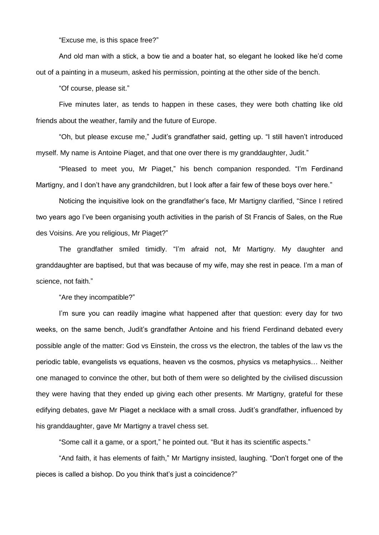"Excuse me, is this space free?"

And old man with a stick, a bow tie and a boater hat, so elegant he looked like he'd come out of a painting in a museum, asked his permission, pointing at the other side of the bench.

"Of course, please sit."

Five minutes later, as tends to happen in these cases, they were both chatting like old friends about the weather, family and the future of Europe.

"Oh, but please excuse me," Judit's grandfather said, getting up. "I still haven't introduced myself. My name is Antoine Piaget, and that one over there is my granddaughter, Judit."

"Pleased to meet you, Mr Piaget," his bench companion responded. "I'm Ferdinand Martigny, and I don't have any grandchildren, but I look after a fair few of these boys over here."

Noticing the inquisitive look on the grandfather's face, Mr Martigny clarified, "Since I retired two years ago I've been organising youth activities in the parish of St Francis of Sales, on the Rue des Voisins. Are you religious, Mr Piaget?"

The grandfather smiled timidly. "I'm afraid not, Mr Martigny. My daughter and granddaughter are baptised, but that was because of my wife, may she rest in peace. I'm a man of science, not faith."

"Are they incompatible?"

I'm sure you can readily imagine what happened after that question: every day for two weeks, on the same bench, Judit's grandfather Antoine and his friend Ferdinand debated every possible angle of the matter: God vs Einstein, the cross vs the electron, the tables of the law vs the periodic table, evangelists vs equations, heaven vs the cosmos, physics vs metaphysics… Neither one managed to convince the other, but both of them were so delighted by the civilised discussion they were having that they ended up giving each other presents. Mr Martigny, grateful for these edifying debates, gave Mr Piaget a necklace with a small cross. Judit's grandfather, influenced by his granddaughter, gave Mr Martigny a travel chess set.

"Some call it a game, or a sport," he pointed out. "But it has its scientific aspects."

"And faith, it has elements of faith," Mr Martigny insisted, laughing. "Don't forget one of the pieces is called a bishop. Do you think that's just a coincidence?"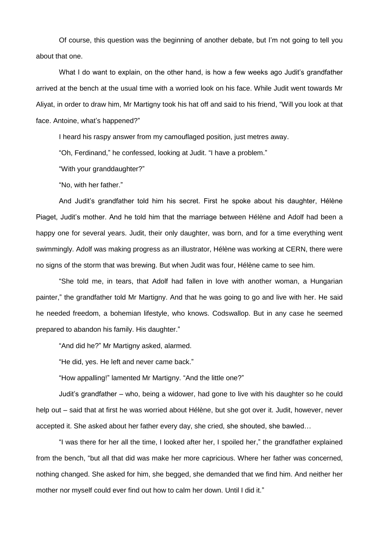Of course, this question was the beginning of another debate, but I'm not going to tell you about that one.

What I do want to explain, on the other hand, is how a few weeks ago Judit's grandfather arrived at the bench at the usual time with a worried look on his face. While Judit went towards Mr Aliyat, in order to draw him, Mr Martigny took his hat off and said to his friend, "Will you look at that face. Antoine, what's happened?"

I heard his raspy answer from my camouflaged position, just metres away.

"Oh, Ferdinand," he confessed, looking at Judit. "I have a problem."

"With your granddaughter?"

"No, with her father."

And Judit's grandfather told him his secret. First he spoke about his daughter, Hélène Piaget, Judit's mother. And he told him that the marriage between Hélène and Adolf had been a happy one for several years. Judit, their only daughter, was born, and for a time everything went swimmingly. Adolf was making progress as an illustrator, Hélène was working at CERN, there were no signs of the storm that was brewing. But when Judit was four, Hélène came to see him.

"She told me, in tears, that Adolf had fallen in love with another woman, a Hungarian painter," the grandfather told Mr Martigny. And that he was going to go and live with her. He said he needed freedom, a bohemian lifestyle, who knows. Codswallop. But in any case he seemed prepared to abandon his family. His daughter."

"And did he?" Mr Martigny asked, alarmed.

"He did, yes. He left and never came back."

"How appalling!" lamented Mr Martigny. "And the little one?"

Judit's grandfather – who, being a widower, had gone to live with his daughter so he could help out – said that at first he was worried about Hélène, but she got over it. Judit, however, never accepted it. She asked about her father every day, she cried, she shouted, she bawled…

"I was there for her all the time, I looked after her, I spoiled her," the grandfather explained from the bench, "but all that did was make her more capricious. Where her father was concerned, nothing changed. She asked for him, she begged, she demanded that we find him. And neither her mother nor myself could ever find out how to calm her down. Until I did it."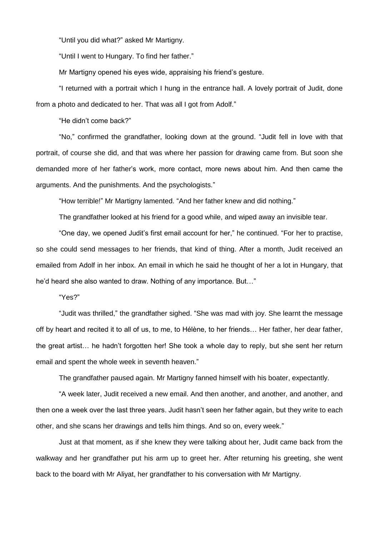"Until you did what?" asked Mr Martigny.

"Until I went to Hungary. To find her father."

Mr Martigny opened his eyes wide, appraising his friend's gesture.

"I returned with a portrait which I hung in the entrance hall. A lovely portrait of Judit, done from a photo and dedicated to her. That was all I got from Adolf."

"He didn't come back?"

"No," confirmed the grandfather, looking down at the ground. "Judit fell in love with that portrait, of course she did, and that was where her passion for drawing came from. But soon she demanded more of her father's work, more contact, more news about him. And then came the arguments. And the punishments. And the psychologists."

"How terrible!" Mr Martigny lamented. "And her father knew and did nothing."

The grandfather looked at his friend for a good while, and wiped away an invisible tear.

"One day, we opened Judit's first email account for her," he continued. "For her to practise, so she could send messages to her friends, that kind of thing. After a month, Judit received an emailed from Adolf in her inbox. An email in which he said he thought of her a lot in Hungary, that he'd heard she also wanted to draw. Nothing of any importance. But…"

"Yes?"

"Judit was thrilled," the grandfather sighed. "She was mad with joy. She learnt the message off by heart and recited it to all of us, to me, to Hélène, to her friends… Her father, her dear father, the great artist… he hadn't forgotten her! She took a whole day to reply, but she sent her return email and spent the whole week in seventh heaven."

The grandfather paused again. Mr Martigny fanned himself with his boater, expectantly.

"A week later, Judit received a new email. And then another, and another, and another, and then one a week over the last three years. Judit hasn't seen her father again, but they write to each other, and she scans her drawings and tells him things. And so on, every week."

Just at that moment, as if she knew they were talking about her, Judit came back from the walkway and her grandfather put his arm up to greet her. After returning his greeting, she went back to the board with Mr Aliyat, her grandfather to his conversation with Mr Martigny.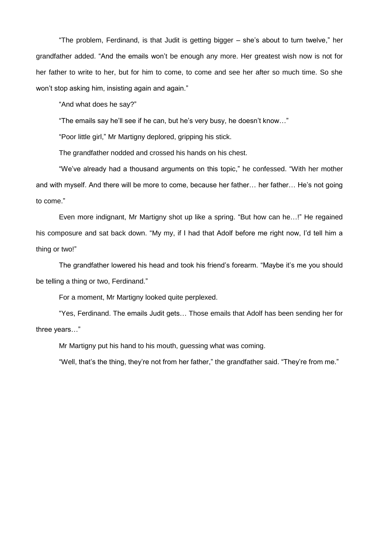"The problem, Ferdinand, is that Judit is getting bigger – she's about to turn twelve," her grandfather added. "And the emails won't be enough any more. Her greatest wish now is not for her father to write to her, but for him to come, to come and see her after so much time. So she won't stop asking him, insisting again and again."

"And what does he say?"

"The emails say he'll see if he can, but he's very busy, he doesn't know…"

"Poor little girl," Mr Martigny deplored, gripping his stick.

The grandfather nodded and crossed his hands on his chest.

"We've already had a thousand arguments on this topic," he confessed. "With her mother and with myself. And there will be more to come, because her father… her father… He's not going to come."

Even more indignant, Mr Martigny shot up like a spring. "But how can he…!" He regained his composure and sat back down. "My my, if I had that Adolf before me right now, I'd tell him a thing or two!"

The grandfather lowered his head and took his friend's forearm. "Maybe it's me you should be telling a thing or two, Ferdinand."

For a moment, Mr Martigny looked quite perplexed.

"Yes, Ferdinand. The emails Judit gets… Those emails that Adolf has been sending her for three years…"

Mr Martigny put his hand to his mouth, guessing what was coming.

"Well, that's the thing, they're not from her father," the grandfather said. "They're from me."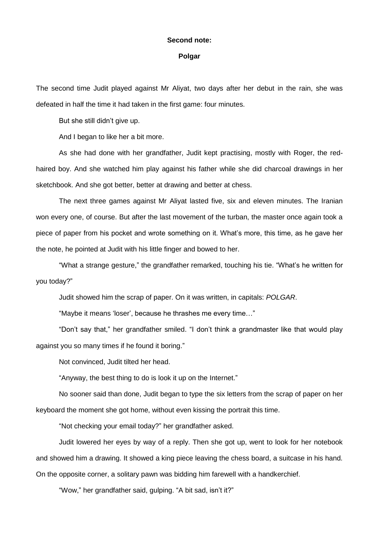### **Second note:**

### **Polgar**

The second time Judit played against Mr Aliyat, two days after her debut in the rain, she was defeated in half the time it had taken in the first game: four minutes.

But she still didn't give up.

And I began to like her a bit more.

As she had done with her grandfather, Judit kept practising, mostly with Roger, the redhaired boy. And she watched him play against his father while she did charcoal drawings in her sketchbook. And she got better, better at drawing and better at chess.

The next three games against Mr Aliyat lasted five, six and eleven minutes. The Iranian won every one, of course. But after the last movement of the turban, the master once again took a piece of paper from his pocket and wrote something on it. What's more, this time, as he gave her the note, he pointed at Judit with his little finger and bowed to her.

"What a strange gesture," the grandfather remarked, touching his tie. "What's he written for you today?"

Judit showed him the scrap of paper. On it was written, in capitals: *POLGAR*.

"Maybe it means 'loser', because he thrashes me every time…"

"Don't say that," her grandfather smiled. "I don't think a grandmaster like that would play against you so many times if he found it boring."

Not convinced, Judit tilted her head.

"Anyway, the best thing to do is look it up on the Internet."

No sooner said than done, Judit began to type the six letters from the scrap of paper on her keyboard the moment she got home, without even kissing the portrait this time.

"Not checking your email today?" her grandfather asked.

Judit lowered her eyes by way of a reply. Then she got up, went to look for her notebook and showed him a drawing. It showed a king piece leaving the chess board, a suitcase in his hand. On the opposite corner, a solitary pawn was bidding him farewell with a handkerchief.

"Wow," her grandfather said, gulping. "A bit sad, isn't it?"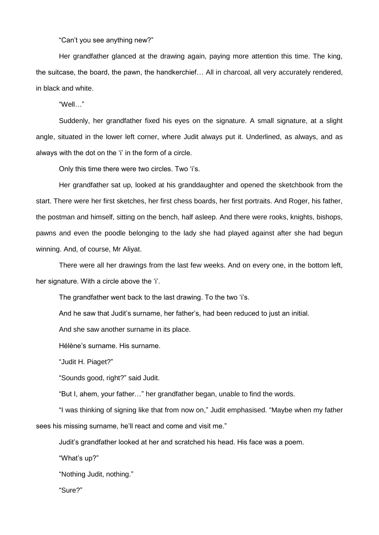"Can't you see anything new?"

Her grandfather glanced at the drawing again, paying more attention this time. The king, the suitcase, the board, the pawn, the handkerchief… All in charcoal, all very accurately rendered, in black and white.

"Well…"

Suddenly, her grandfather fixed his eyes on the signature. A small signature, at a slight angle, situated in the lower left corner, where Judit always put it. Underlined, as always, and as always with the dot on the 'i' in the form of a circle.

Only this time there were two circles. Two 'i's.

Her grandfather sat up, looked at his granddaughter and opened the sketchbook from the start. There were her first sketches, her first chess boards, her first portraits. And Roger, his father, the postman and himself, sitting on the bench, half asleep. And there were rooks, knights, bishops, pawns and even the poodle belonging to the lady she had played against after she had begun winning. And, of course, Mr Aliyat.

There were all her drawings from the last few weeks. And on every one, in the bottom left, her signature. With a circle above the 'i'.

The grandfather went back to the last drawing. To the two 'i's.

And he saw that Judit's surname, her father's, had been reduced to just an initial.

And she saw another surname in its place.

Hélène's surname. His surname.

"Judit H. Piaget?"

"Sounds good, right?" said Judit.

"But I, ahem, your father…" her grandfather began, unable to find the words.

"I was thinking of signing like that from now on," Judit emphasised. "Maybe when my father sees his missing surname, he'll react and come and visit me."

Judit's grandfather looked at her and scratched his head. His face was a poem.

"What's up?"

"Nothing Judit, nothing."

"Sure?"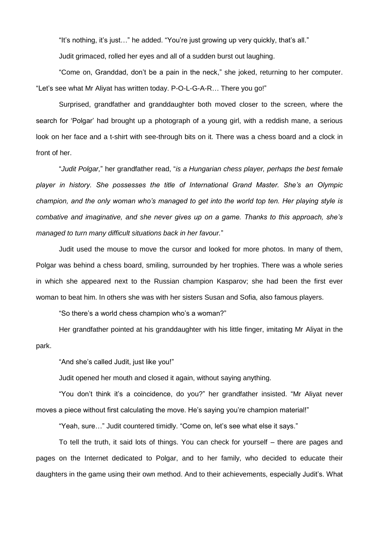"It's nothing, it's just…" he added. "You're just growing up very quickly, that's all."

Judit grimaced, rolled her eyes and all of a sudden burst out laughing.

"Come on, Granddad, don't be a pain in the neck," she joked, returning to her computer. "Let's see what Mr Aliyat has written today. P-O-L-G-A-R… There you go!"

Surprised, grandfather and granddaughter both moved closer to the screen, where the search for 'Polgar' had brought up a photograph of a young girl, with a reddish mane, a serious look on her face and a t-shirt with see-through bits on it. There was a chess board and a clock in front of her.

"*Judit Polgar,*" her grandfather read, "*is a Hungarian chess player, perhaps the best female player in history. She possesses the title of International Grand Master. She's an Olympic champion, and the only woman who's managed to get into the world top ten. Her playing style is combative and imaginative, and she never gives up on a game. Thanks to this approach, she's managed to turn many difficult situations back in her favour.*"

Judit used the mouse to move the cursor and looked for more photos. In many of them, Polgar was behind a chess board, smiling, surrounded by her trophies. There was a whole series in which she appeared next to the Russian champion Kasparov; she had been the first ever woman to beat him. In others she was with her sisters Susan and Sofia, also famous players.

"So there's a world chess champion who's a woman?"

Her grandfather pointed at his granddaughter with his little finger, imitating Mr Aliyat in the park.

"And she's called Judit, just like you!"

Judit opened her mouth and closed it again, without saying anything.

"You don't think it's a coincidence, do you?" her grandfather insisted. "Mr Aliyat never moves a piece without first calculating the move. He's saying you're champion material!"

"Yeah, sure…" Judit countered timidly. "Come on, let's see what else it says."

To tell the truth, it said lots of things. You can check for yourself – there are pages and pages on the Internet dedicated to Polgar, and to her family, who decided to educate their daughters in the game using their own method. And to their achievements, especially Judit's. What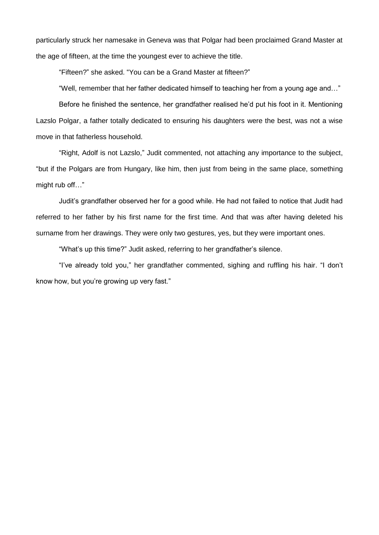particularly struck her namesake in Geneva was that Polgar had been proclaimed Grand Master at the age of fifteen, at the time the youngest ever to achieve the title.

"Fifteen?" she asked. "You can be a Grand Master at fifteen?"

"Well, remember that her father dedicated himself to teaching her from a young age and…"

Before he finished the sentence, her grandfather realised he'd put his foot in it. Mentioning Lazslo Polgar, a father totally dedicated to ensuring his daughters were the best, was not a wise move in that fatherless household.

"Right, Adolf is not Lazslo," Judit commented, not attaching any importance to the subject, "but if the Polgars are from Hungary, like him, then just from being in the same place, something might rub off…"

Judit's grandfather observed her for a good while. He had not failed to notice that Judit had referred to her father by his first name for the first time. And that was after having deleted his surname from her drawings. They were only two gestures, yes, but they were important ones.

"What's up this time?" Judit asked, referring to her grandfather's silence.

"I've already told you," her grandfather commented, sighing and ruffling his hair. "I don't know how, but you're growing up very fast."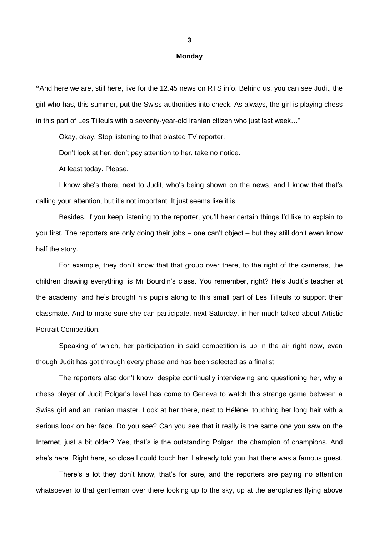#### **Monday**

**"**And here we are, still here, live for the 12.45 news on RTS info. Behind us, you can see Judit, the girl who has, this summer, put the Swiss authorities into check. As always, the girl is playing chess in this part of Les Tilleuls with a seventy-year-old Iranian citizen who just last week…"

Okay, okay. Stop listening to that blasted TV reporter.

Don't look at her, don't pay attention to her, take no notice.

At least today. Please.

I know she's there, next to Judit, who's being shown on the news, and I know that that's calling your attention, but it's not important. It just seems like it is.

Besides, if you keep listening to the reporter, you'll hear certain things I'd like to explain to you first. The reporters are only doing their jobs – one can't object – but they still don't even know half the story.

For example, they don't know that that group over there, to the right of the cameras, the children drawing everything, is Mr Bourdin's class. You remember, right? He's Judit's teacher at the academy, and he's brought his pupils along to this small part of Les Tilleuls to support their classmate. And to make sure she can participate, next Saturday, in her much-talked about Artistic Portrait Competition.

Speaking of which, her participation in said competition is up in the air right now, even though Judit has got through every phase and has been selected as a finalist.

The reporters also don't know, despite continually interviewing and questioning her, why a chess player of Judit Polgar's level has come to Geneva to watch this strange game between a Swiss girl and an Iranian master. Look at her there, next to Hélène, touching her long hair with a serious look on her face. Do you see? Can you see that it really is the same one you saw on the Internet, just a bit older? Yes, that's is the outstanding Polgar, the champion of champions. And she's here. Right here, so close I could touch her. I already told you that there was a famous guest.

There's a lot they don't know, that's for sure, and the reporters are paying no attention whatsoever to that gentleman over there looking up to the sky, up at the aeroplanes flying above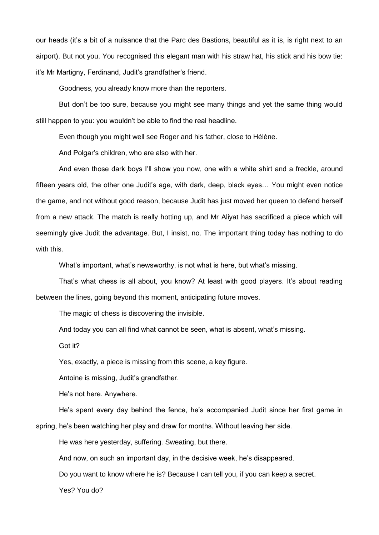our heads (it's a bit of a nuisance that the Parc des Bastions, beautiful as it is, is right next to an airport). But not you. You recognised this elegant man with his straw hat, his stick and his bow tie: it's Mr Martigny, Ferdinand, Judit's grandfather's friend.

Goodness, you already know more than the reporters.

But don't be too sure, because you might see many things and yet the same thing would still happen to you: you wouldn't be able to find the real headline.

Even though you might well see Roger and his father, close to Hélène.

And Polgar's children, who are also with her.

And even those dark boys I'll show you now, one with a white shirt and a freckle, around fifteen years old, the other one Judit's age, with dark, deep, black eyes… You might even notice the game, and not without good reason, because Judit has just moved her queen to defend herself from a new attack. The match is really hotting up, and Mr Aliyat has sacrificed a piece which will seemingly give Judit the advantage. But, I insist, no. The important thing today has nothing to do with this.

What's important, what's newsworthy, is not what is here, but what's missing.

That's what chess is all about, you know? At least with good players. It's about reading between the lines, going beyond this moment, anticipating future moves.

The magic of chess is discovering the invisible.

And today you can all find what cannot be seen, what is absent, what's missing.

Got it?

Yes, exactly, a piece is missing from this scene, a key figure.

Antoine is missing, Judit's grandfather.

He's not here. Anywhere.

He's spent every day behind the fence, he's accompanied Judit since her first game in

spring, he's been watching her play and draw for months. Without leaving her side.

He was here yesterday, suffering. Sweating, but there.

And now, on such an important day, in the decisive week, he's disappeared.

Do you want to know where he is? Because I can tell you, if you can keep a secret.

Yes? You do?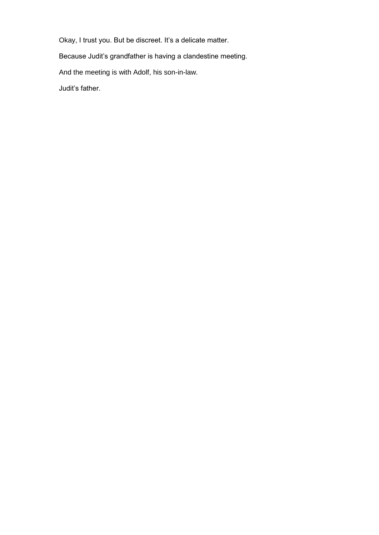Okay, I trust you. But be discreet. It's a delicate matter.

Because Judit's grandfather is having a clandestine meeting.

And the meeting is with Adolf, his son-in-law.

Judit's father.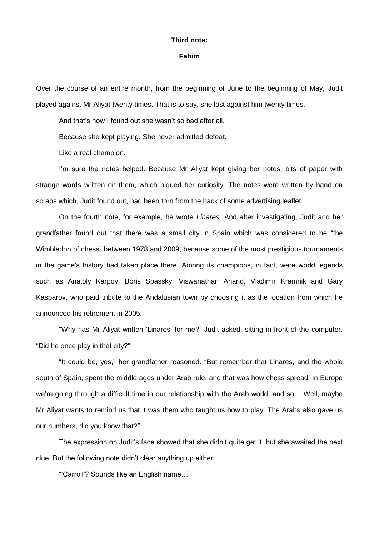#### **Third note:**

#### **Fahim**

Over the course of an entire month, from the beginning of June to the beginning of May, Judit played against Mr Aliyat twenty times. That is to say, she lost against him twenty times.

And that's how I found out she wasn't so bad after all.

Because she kept playing. She never admitted defeat.

Like a real champion.

I'm sure the notes helped. Because Mr Aliyat kept giving her notes, bits of paper with strange words written on them, which piqued her curiosity. The notes were written by hand on scraps which, Judit found out, had been torn from the back of some advertising leaflet.

On the fourth note, for example, he wrote *Linares*. And after investigating, Judit and her grandfather found out that there was a small city in Spain which was considered to be "the Wimbledon of chess" between 1978 and 2009, because some of the most prestigious tournaments in the game's history had taken place there. Among its champions, in fact, were world legends such as Anatoly Karpov, Boris Spassky, Viswanathan Anand, Vladimir Kramnik and Gary Kasparov, who paid tribute to the Andalusian town by choosing it as the location from which he announced his retirement in 2005.

"Why has Mr Aliyat written 'Linares' for me?" Judit asked, sitting in front of the computer. "Did he once play in that city?"

"It could be, yes," her grandfather reasoned. "But remember that Linares, and the whole south of Spain, spent the middle ages under Arab rule, and that was how chess spread. In Europe we're going through a difficult time in our relationship with the Arab world, and so… Well, maybe Mr Aliyat wants to remind us that it was them who taught us how to play. The Arabs also gave us our numbers, did you know that?"

The expression on Judit's face showed that she didn't quite get it, but she awaited the next clue. But the following note didn't clear anything up either.

"'Carroll'? Sounds like an English name…"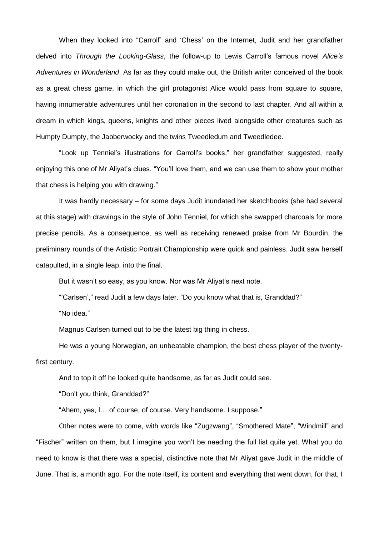When they looked into "Carroll" and 'Chess' on the Internet, Judit and her grandfather delved into *Through the Looking-Glass*, the follow-up to Lewis Carroll's famous novel *Alice's Adventures in Wonderland*. As far as they could make out, the British writer conceived of the book as a great chess game, in which the girl protagonist Alice would pass from square to square, having innumerable adventures until her coronation in the second to last chapter. And all within a dream in which kings, queens, knights and other pieces lived alongside other creatures such as Humpty Dumpty, the Jabberwocky and the twins Tweedledum and Tweedledee.

"Look up Tenniel's illustrations for Carroll's books," her grandfather suggested, really enjoying this one of Mr Aliyat's clues. "You'll love them, and we can use them to show your mother that chess is helping you with drawing."

It was hardly necessary – for some days Judit inundated her sketchbooks (she had several at this stage) with drawings in the style of John Tenniel, for which she swapped charcoals for more precise pencils. As a consequence, as well as receiving renewed praise from Mr Bourdin, the preliminary rounds of the Artistic Portrait Championship were quick and painless. Judit saw herself catapulted, in a single leap, into the final.

But it wasn't so easy, as you know. Nor was Mr Aliyat's next note.

"'Carlsen'," read Judit a few days later. "Do you know what that is, Granddad?"

"No idea."

Magnus Carlsen turned out to be the latest big thing in chess.

He was a young Norwegian, an unbeatable champion, the best chess player of the twentyfirst century.

And to top it off he looked quite handsome, as far as Judit could see.

"Don't you think, Granddad?"

"Ahem, yes, I… of course, of course. Very handsome. I suppose."

Other notes were to come, with words like "Zugzwang", "Smothered Mate", "Windmill" and "Fischer" written on them, but I imagine you won't be needing the full list quite yet. What you do need to know is that there was a special, distinctive note that Mr Aliyat gave Judit in the middle of June. That is, a month ago. For the note itself, its content and everything that went down, for that, I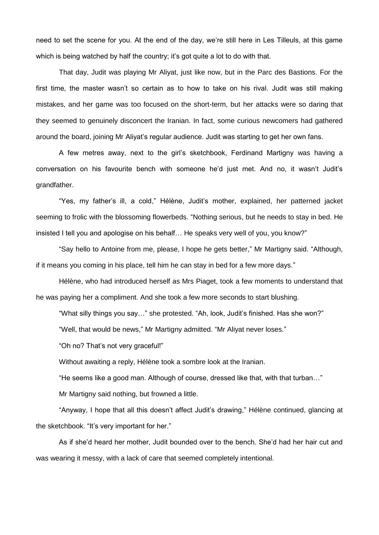need to set the scene for you. At the end of the day, we're still here in Les Tilleuls, at this game which is being watched by half the country; it's got quite a lot to do with that.

That day, Judit was playing Mr Aliyat, just like now, but in the Parc des Bastions. For the first time, the master wasn't so certain as to how to take on his rival. Judit was still making mistakes, and her game was too focused on the short-term, but her attacks were so daring that they seemed to genuinely disconcert the Iranian. In fact, some curious newcomers had gathered around the board, joining Mr Aliyat's regular audience. Judit was starting to get her own fans.

A few metres away, next to the girl's sketchbook, Ferdinand Martigny was having a conversation on his favourite bench with someone he'd just met. And no, it wasn't Judit's grandfather.

"Yes, my father's ill, a cold," Hélène, Judit's mother, explained, her patterned jacket seeming to frolic with the blossoming flowerbeds. "Nothing serious, but he needs to stay in bed. He insisted I tell you and apologise on his behalf… He speaks very well of you, you know?"

"Say hello to Antoine from me, please, I hope he gets better," Mr Martigny said. "Although, if it means you coming in his place, tell him he can stay in bed for a few more days."

Hélène, who had introduced herself as Mrs Piaget, took a few moments to understand that he was paying her a compliment. And she took a few more seconds to start blushing.

"What silly things you say…" she protested. "Ah, look, Judit's finished. Has she won?"

"Well, that would be news," Mr Martigny admitted. "Mr Aliyat never loses."

"Oh no? That's not very graceful!"

Without awaiting a reply, Hélène took a sombre look at the Iranian.

"He seems like a good man. Although of course, dressed like that, with that turban…"

Mr Martigny said nothing, but frowned a little.

"Anyway, I hope that all this doesn't affect Judit's drawing," Hélène continued, glancing at the sketchbook. "It's very important for her."

As if she'd heard her mother, Judit bounded over to the bench. She'd had her hair cut and was wearing it messy, with a lack of care that seemed completely intentional.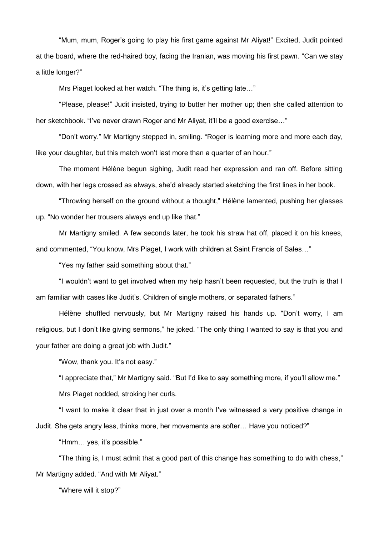"Mum, mum, Roger's going to play his first game against Mr Aliyat!" Excited, Judit pointed at the board, where the red-haired boy, facing the Iranian, was moving his first pawn. "Can we stay a little longer?"

Mrs Piaget looked at her watch. "The thing is, it's getting late…"

"Please, please!" Judit insisted, trying to butter her mother up; then she called attention to her sketchbook. "I've never drawn Roger and Mr Aliyat, it'll be a good exercise..."

"Don't worry." Mr Martigny stepped in, smiling. "Roger is learning more and more each day, like your daughter, but this match won't last more than a quarter of an hour."

The moment Hélène begun sighing, Judit read her expression and ran off. Before sitting down, with her legs crossed as always, she'd already started sketching the first lines in her book.

"Throwing herself on the ground without a thought," Hélène lamented, pushing her glasses up. "No wonder her trousers always end up like that."

Mr Martigny smiled. A few seconds later, he took his straw hat off, placed it on his knees, and commented, "You know, Mrs Piaget, I work with children at Saint Francis of Sales…"

"Yes my father said something about that."

"I wouldn't want to get involved when my help hasn't been requested, but the truth is that I am familiar with cases like Judit's. Children of single mothers, or separated fathers."

Hélène shuffled nervously, but Mr Martigny raised his hands up. "Don't worry, I am religious, but I don't like giving sermons," he joked. "The only thing I wanted to say is that you and your father are doing a great job with Judit."

"Wow, thank you. It's not easy."

"I appreciate that," Mr Martigny said. "But I'd like to say something more, if you'll allow me."

Mrs Piaget nodded, stroking her curls.

"I want to make it clear that in just over a month I've witnessed a very positive change in Judit. She gets angry less, thinks more, her movements are softer… Have you noticed?"

"Hmm… yes, it's possible."

"The thing is, I must admit that a good part of this change has something to do with chess," Mr Martigny added. "And with Mr Aliyat."

"Where will it stop?"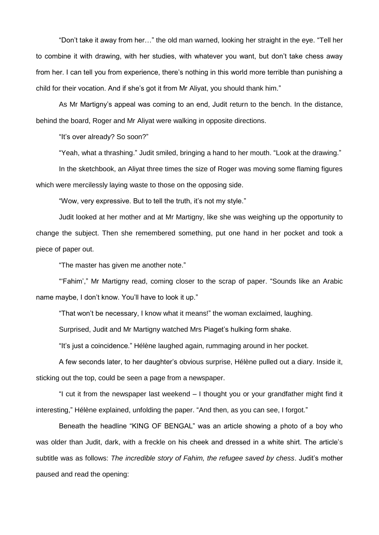"Don't take it away from her…" the old man warned, looking her straight in the eye. "Tell her to combine it with drawing, with her studies, with whatever you want, but don't take chess away from her. I can tell you from experience, there's nothing in this world more terrible than punishing a child for their vocation. And if she's got it from Mr Aliyat, you should thank him."

As Mr Martigny's appeal was coming to an end, Judit return to the bench. In the distance, behind the board, Roger and Mr Aliyat were walking in opposite directions.

"It's over already? So soon?"

"Yeah, what a thrashing." Judit smiled, bringing a hand to her mouth. "Look at the drawing."

In the sketchbook, an Aliyat three times the size of Roger was moving some flaming figures which were mercilessly laying waste to those on the opposing side.

"Wow, very expressive. But to tell the truth, it's not my style."

Judit looked at her mother and at Mr Martigny, like she was weighing up the opportunity to change the subject. Then she remembered something, put one hand in her pocket and took a piece of paper out.

"The master has given me another note."

"'Fahim'," Mr Martigny read, coming closer to the scrap of paper. "Sounds like an Arabic name maybe, I don't know. You'll have to look it up."

"That won't be necessary, I know what it means!" the woman exclaimed, laughing.

Surprised, Judit and Mr Martigny watched Mrs Piaget's hulking form shake.

"It's just a coincidence." Hélène laughed again, rummaging around in her pocket.

A few seconds later, to her daughter's obvious surprise, Hélène pulled out a diary. Inside it, sticking out the top, could be seen a page from a newspaper.

"I cut it from the newspaper last weekend – I thought you or your grandfather might find it interesting," Hélène explained, unfolding the paper. "And then, as you can see, I forgot."

Beneath the headline "KING OF BENGAL" was an article showing a photo of a boy who was older than Judit, dark, with a freckle on his cheek and dressed in a white shirt. The article's subtitle was as follows: *The incredible story of Fahim, the refugee saved by chess*. Judit's mother paused and read the opening: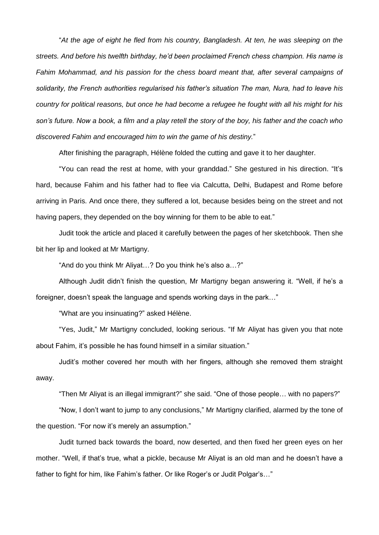"*At the age of eight he fled from his country, Bangladesh. At ten, he was sleeping on the streets. And before his twelfth birthday, he'd been proclaimed French chess champion. His name is Fahim Mohammad, and his passion for the chess board meant that, after several campaigns of solidarity, the French authorities regularised his father's situation The man, Nura, had to leave his country for political reasons, but once he had become a refugee he fought with all his might for his son's future. Now a book, a film and a play retell the story of the boy, his father and the coach who discovered Fahim and encouraged him to win the game of his destiny.*"

After finishing the paragraph, Hélène folded the cutting and gave it to her daughter.

"You can read the rest at home, with your granddad." She gestured in his direction. "It's hard, because Fahim and his father had to flee via Calcutta, Delhi, Budapest and Rome before arriving in Paris. And once there, they suffered a lot, because besides being on the street and not having papers, they depended on the boy winning for them to be able to eat."

Judit took the article and placed it carefully between the pages of her sketchbook. Then she bit her lip and looked at Mr Martigny.

"And do you think Mr Aliyat…? Do you think he's also a…?"

Although Judit didn't finish the question, Mr Martigny began answering it. "Well, if he's a foreigner, doesn't speak the language and spends working days in the park…"

"What are you insinuating?" asked Hélène.

"Yes, Judit," Mr Martigny concluded, looking serious. "If Mr Aliyat has given you that note about Fahim, it's possible he has found himself in a similar situation."

Judit's mother covered her mouth with her fingers, although she removed them straight away.

"Then Mr Aliyat is an illegal immigrant?" she said. "One of those people… with no papers?"

"Now, I don't want to jump to any conclusions," Mr Martigny clarified, alarmed by the tone of the question. "For now it's merely an assumption."

Judit turned back towards the board, now deserted, and then fixed her green eyes on her mother. "Well, if that's true, what a pickle, because Mr Aliyat is an old man and he doesn't have a father to fight for him, like Fahim's father. Or like Roger's or Judit Polgar's…"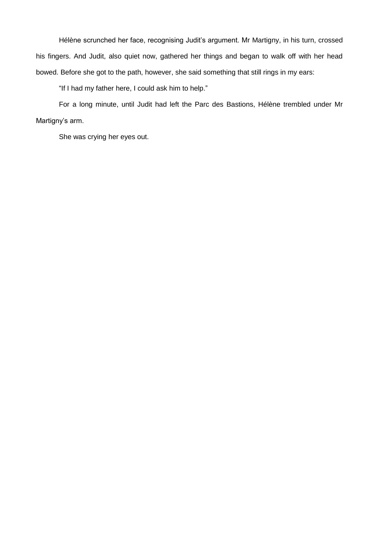Hélène scrunched her face, recognising Judit's argument. Mr Martigny, in his turn, crossed his fingers. And Judit, also quiet now, gathered her things and began to walk off with her head bowed. Before she got to the path, however, she said something that still rings in my ears:

"If I had my father here, I could ask him to help."

For a long minute, until Judit had left the Parc des Bastions, Hélène trembled under Mr Martigny's arm.

She was crying her eyes out.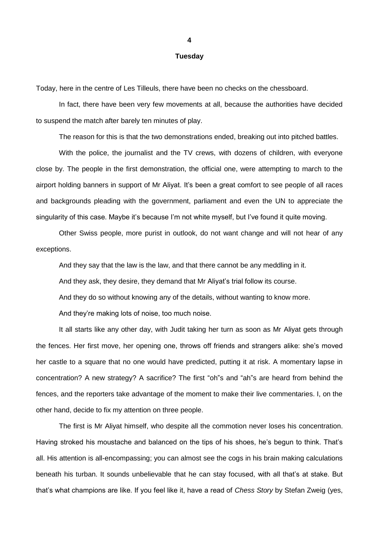#### **Tuesday**

Today, here in the centre of Les Tilleuls, there have been no checks on the chessboard.

In fact, there have been very few movements at all, because the authorities have decided to suspend the match after barely ten minutes of play.

The reason for this is that the two demonstrations ended, breaking out into pitched battles.

With the police, the journalist and the TV crews, with dozens of children, with everyone close by. The people in the first demonstration, the official one, were attempting to march to the airport holding banners in support of Mr Aliyat. It's been a great comfort to see people of all races and backgrounds pleading with the government, parliament and even the UN to appreciate the singularity of this case. Maybe it's because I'm not white myself, but I've found it quite moving.

Other Swiss people, more purist in outlook, do not want change and will not hear of any exceptions.

And they say that the law is the law, and that there cannot be any meddling in it.

And they ask, they desire, they demand that Mr Aliyat's trial follow its course.

And they do so without knowing any of the details, without wanting to know more.

And they're making lots of noise, too much noise.

It all starts like any other day, with Judit taking her turn as soon as Mr Aliyat gets through the fences. Her first move, her opening one, throws off friends and strangers alike: she's moved her castle to a square that no one would have predicted, putting it at risk. A momentary lapse in concentration? A new strategy? A sacrifice? The first "oh"s and "ah"s are heard from behind the fences, and the reporters take advantage of the moment to make their live commentaries. I, on the other hand, decide to fix my attention on three people.

The first is Mr Aliyat himself, who despite all the commotion never loses his concentration. Having stroked his moustache and balanced on the tips of his shoes, he's begun to think. That's all. His attention is all-encompassing; you can almost see the cogs in his brain making calculations beneath his turban. It sounds unbelievable that he can stay focused, with all that's at stake. But that's what champions are like. If you feel like it, have a read of *Chess Story* by Stefan Zweig (yes,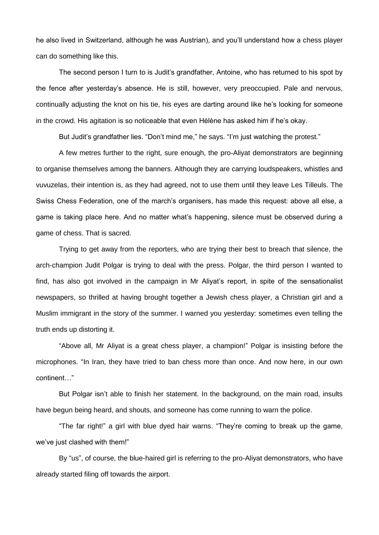he also lived in Switzerland, although he was Austrian), and you'll understand how a chess player can do something like this.

The second person I turn to is Judit's grandfather, Antoine, who has returned to his spot by the fence after yesterday's absence. He is still, however, very preoccupied. Pale and nervous, continually adjusting the knot on his tie, his eyes are darting around like he's looking for someone in the crowd. His agitation is so noticeable that even Hélène has asked him if he's okay.

But Judit's grandfather lies. "Don't mind me," he says. "I'm just watching the protest."

A few metres further to the right, sure enough, the pro-Aliyat demonstrators are beginning to organise themselves among the banners. Although they are carrying loudspeakers, whistles and vuvuzelas, their intention is, as they had agreed, not to use them until they leave Les Tilleuls. The Swiss Chess Federation, one of the march's organisers, has made this request: above all else, a game is taking place here. And no matter what's happening, silence must be observed during a game of chess. That is sacred.

Trying to get away from the reporters, who are trying their best to breach that silence, the arch-champion Judit Polgar is trying to deal with the press. Polgar, the third person I wanted to find, has also got involved in the campaign in Mr Aliyat's report, in spite of the sensationalist newspapers, so thrilled at having brought together a Jewish chess player, a Christian girl and a Muslim immigrant in the story of the summer. I warned you yesterday: sometimes even telling the truth ends up distorting it.

"Above all, Mr Aliyat is a great chess player, a champion!" Polgar is insisting before the microphones. "In Iran, they have tried to ban chess more than once. And now here, in our own continent…"

But Polgar isn't able to finish her statement. In the background, on the main road, insults have begun being heard, and shouts, and someone has come running to warn the police.

"The far right!" a girl with blue dyed hair warns. "They're coming to break up the game, we've just clashed with them!"

By "us", of course, the blue-haired girl is referring to the pro-Aliyat demonstrators, who have already started filing off towards the airport.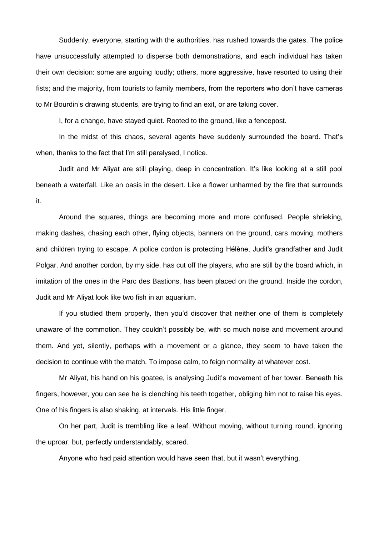Suddenly, everyone, starting with the authorities, has rushed towards the gates. The police have unsuccessfully attempted to disperse both demonstrations, and each individual has taken their own decision: some are arguing loudly; others, more aggressive, have resorted to using their fists; and the majority, from tourists to family members, from the reporters who don't have cameras to Mr Bourdin's drawing students, are trying to find an exit, or are taking cover.

I, for a change, have stayed quiet. Rooted to the ground, like a fencepost.

In the midst of this chaos, several agents have suddenly surrounded the board. That's when, thanks to the fact that I'm still paralysed, I notice.

Judit and Mr Aliyat are still playing, deep in concentration. It's like looking at a still pool beneath a waterfall. Like an oasis in the desert. Like a flower unharmed by the fire that surrounds it.

Around the squares, things are becoming more and more confused. People shrieking, making dashes, chasing each other, flying objects, banners on the ground, cars moving, mothers and children trying to escape. A police cordon is protecting Hélène, Judit's grandfather and Judit Polgar. And another cordon, by my side, has cut off the players, who are still by the board which, in imitation of the ones in the Parc des Bastions, has been placed on the ground. Inside the cordon, Judit and Mr Aliyat look like two fish in an aquarium.

If you studied them properly, then you'd discover that neither one of them is completely unaware of the commotion. They couldn't possibly be, with so much noise and movement around them. And yet, silently, perhaps with a movement or a glance, they seem to have taken the decision to continue with the match. To impose calm, to feign normality at whatever cost.

Mr Aliyat, his hand on his goatee, is analysing Judit's movement of her tower. Beneath his fingers, however, you can see he is clenching his teeth together, obliging him not to raise his eyes. One of his fingers is also shaking, at intervals. His little finger.

On her part, Judit is trembling like a leaf. Without moving, without turning round, ignoring the uproar, but, perfectly understandably, scared.

Anyone who had paid attention would have seen that, but it wasn't everything.